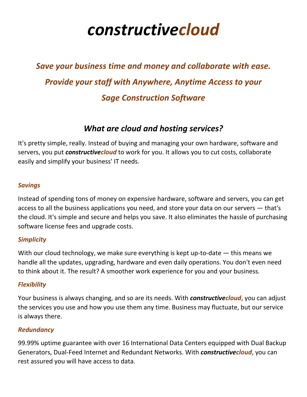# *constructivecloud*

## *Save your business time and money and collaborate with ease. Provide your staff with Anywhere, Anytime Access to your Sage Construction Software*

## *What are cloud and hosting services?*

It's pretty simple, really. Instead of buying and managing your own hardware, software and servers, you put *constructivecloud* to work for you. It allows you to cut costs, collaborate easily and simplify your business' IT needs.

### *Savings*

Instead of spending tons of money on expensive hardware, software and servers, you can get access to all the business applications you need, and store your data on our servers — that's the cloud. It's simple and secure and helps you save. It also eliminates the hassle of purchasing software license fees and upgrade costs.

## *Simplicity*

With our cloud technology, we make sure everything is kept up-to-date — this means we handle all the updates, upgrading, hardware and even daily operations. You don't even need to think about it. The result? A smoother work experience for you and your business.

## *Flexibility*

Your business is always changing, and so are its needs. With *constructivecloud*, you can adjust the services you use and how you use them any time. Business may fluctuate, but our service is always there.

## *Redundancy*

99.99% uptime guarantee with over 16 International Data Centers equipped with Dual Backup Generators, Dual-Feed Internet and Redundant Networks. With *constructivecloud*, you can rest assured you will have access to data.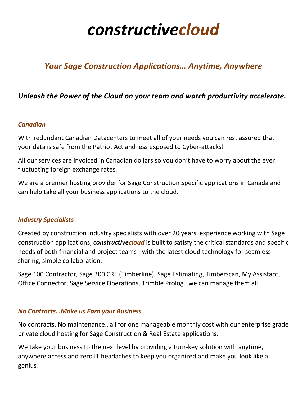# *constructivecloud*

## *Your Sage Construction Applications… Anytime, Anywhere*

## *Unleash the Power of the Cloud on your team and watch productivity accelerate.*

#### *Canadian*

With redundant Canadian Datacenters to meet all of your needs you can rest assured that your data is safe from the Patriot Act and less exposed to Cyber-attacks!

All our services are invoiced in Canadian dollars so you don't have to worry about the ever fluctuating foreign exchange rates.

We are a premier hosting provider for Sage Construction Specific applications in Canada and can help take all your business applications to the cloud.

#### *Industry Specialists*

Created by construction industry specialists with over 20 years' experience working with Sage construction applications, *constructivecloud* is built to satisfy the critical standards and specific needs of both financial and project teams - with the latest cloud technology for seamless sharing, simple collaboration.

Sage 100 Contractor, Sage 300 CRE (Timberline), Sage Estimating, Timberscan, My Assistant, Office Connector, Sage Service Operations, Trimble Prolog…we can manage them all!

#### *No Contracts…Make us Earn your Business*

No contracts, No maintenance…all for one manageable monthly cost with our enterprise grade private cloud hosting for Sage Construction & Real Estate applications.

We take your business to the next level by providing a turn-key solution with anytime, anywhere access and zero IT headaches to keep you organized and make you look like a genius!